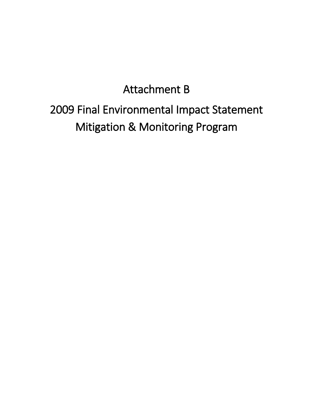## Attachment B

## 2009 Final Environmental Impact Statement Mitigation & Monitoring Program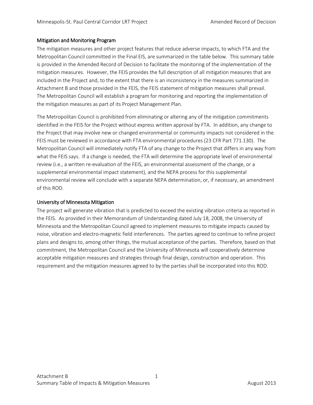## Mitigation and Monitoring Program

The mitigation measures and other project features that reduce adverse impacts, to which FTA and the Metropolitan Council committed in the Final EIS, are summarized in the table below. This summary table is provided in the Amended Record of Decision to facilitate the monitoring of the implementation of the mitigation measures. However, the FEIS provides the full description of all mitigation measures that are included in the Project and, to the extent that there is an inconsistency in the measures summarized in Attachment B and those provided in the FEIS, the FEIS statement of mitigation measures shall prevail. The Metropolitan Council will establish a program for monitoring and reporting the implementation of the mitigation measures as part of its Project Management Plan.

The Metropolitan Council is prohibited from eliminating or altering any of the mitigation commitments identified in the FEIS for the Project without express written approval by FTA. In addition, any change to the Project that may involve new or changed environmental or community impacts not considered in the FEIS must be reviewed in accordance with FTA environmental procedures (23 CFR Part 771.130). The Metropolitan Council will immediately notify FTA of any change to the Project that differs in any way from what the FEIS says. If a change is needed, the FTA will determine the appropriate level of environmental review (i.e., a written re-evaluation of the FEIS, an environmental assessment of the change, or a supplemental environmental impact statement), and the NEPA process for this supplemental environmental review will conclude with a separate NEPA determination, or, if necessary, an amendment of this ROD.

## University of Minnesota Mitigation

The project will generate vibration that is predicted to exceed the existing vibration criteria as reported in the FEIS. As provided in their Memorandum of Understanding dated July 18, 2008, the University of Minnesota and the Metropolitan Council agreed to implement measures to mitigate impacts caused by noise, vibration and electro-magnetic field interferences. The parties agreed to continue to refine project plans and designs to, among other things, the mutual acceptance of the parties. Therefore, based on that commitment, the Metropolitan Council and the University of Minnesota will cooperatively determine acceptable mitigation measures and strategies through final design, construction and operation. This requirement and the mitigation measures agreed to by the parties shall be incorporated into this ROD.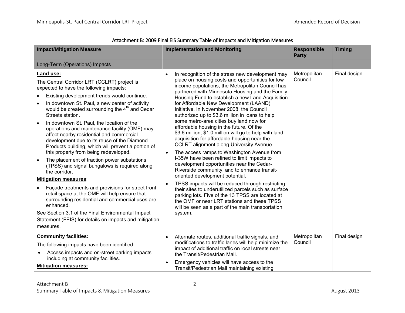| <b>Impact/Mitigation Measure</b>                                                                                                                                                                                                                                                                                                                                                                                                                                                                                                                                                                                                                                                                                                                                                                                                                                                                                                                                                                                                              | <b>Implementation and Monitoring</b>                                                                                                                                                                                                                                                                                                                                                                                                                                                                                                                                                                                                                                                                                                                                                                                                                                                                                                                                                                                                                                                                                                                                                                            | <b>Responsible</b><br><b>Party</b> | <b>Timing</b> |
|-----------------------------------------------------------------------------------------------------------------------------------------------------------------------------------------------------------------------------------------------------------------------------------------------------------------------------------------------------------------------------------------------------------------------------------------------------------------------------------------------------------------------------------------------------------------------------------------------------------------------------------------------------------------------------------------------------------------------------------------------------------------------------------------------------------------------------------------------------------------------------------------------------------------------------------------------------------------------------------------------------------------------------------------------|-----------------------------------------------------------------------------------------------------------------------------------------------------------------------------------------------------------------------------------------------------------------------------------------------------------------------------------------------------------------------------------------------------------------------------------------------------------------------------------------------------------------------------------------------------------------------------------------------------------------------------------------------------------------------------------------------------------------------------------------------------------------------------------------------------------------------------------------------------------------------------------------------------------------------------------------------------------------------------------------------------------------------------------------------------------------------------------------------------------------------------------------------------------------------------------------------------------------|------------------------------------|---------------|
| Long-Term (Operations) Impacts                                                                                                                                                                                                                                                                                                                                                                                                                                                                                                                                                                                                                                                                                                                                                                                                                                                                                                                                                                                                                |                                                                                                                                                                                                                                                                                                                                                                                                                                                                                                                                                                                                                                                                                                                                                                                                                                                                                                                                                                                                                                                                                                                                                                                                                 |                                    |               |
| Land use:<br>The Central Corridor LRT (CCLRT) project is<br>expected to have the following impacts:<br>Existing development trends would continue.<br>In downtown St. Paul, a new center of activity<br>would be created surrounding the 4 <sup>th</sup> and Cedar<br>Streets station.<br>In downtown St. Paul, the location of the<br>$\bullet$<br>operations and maintenance facility (OMF) may<br>affect nearby residential and commercial<br>development due to its reuse of the Diamond<br>Products building, which will prevent a portion of<br>this property from being redeveloped.<br>The placement of traction power substations<br>(TPSS) and signal bungalows is required along<br>the corridor.<br><b>Mitigation measures:</b><br>Façade treatments and provisions for street front<br>retail space at the OMF will help ensure that<br>surrounding residential and commercial uses are<br>enhanced.<br>See Section 3.1 of the Final Environmental Impact<br>Statement (FEIS) for details on impacts and mitigation<br>measures. | In recognition of the stress new development may<br>$\bullet$<br>place on housing costs and opportunities for low<br>income populations, the Metropolitan Council has<br>partnered with Minnesota Housing and the Family<br>Housing Fund to establish a new Land Acquisition<br>for Affordable New Development (LAAND)<br>Initiative. In November 2008, the Council<br>authorized up to \$3.6 million in loans to help<br>some metro-area cities buy land now for<br>affordable housing in the future. Of the<br>\$3.6 million, \$1.0 million will go to help with land<br>acquisition for affordable housing near the<br><b>CCLRT</b> alignment along University Avenue.<br>The access ramps to Washington Avenue from<br>$\bullet$<br>I-35W have been refined to limit impacts to<br>development opportunities near the Cedar-<br>Riverside community, and to enhance transit-<br>oriented development potential.<br>TPSS impacts will be reduced through restricting<br>$\bullet$<br>their sites to underutilized parcels such as surface<br>parking lots. Five of the 13 TPSS are located at<br>the OMF or near LRT stations and these TPSS<br>will be seen as a part of the main transportation<br>system. | Metropolitan<br>Council            | Final design  |
| <b>Community facilities:</b><br>The following impacts have been identified:<br>Access impacts and on-street parking impacts<br>including at community facilities.<br><b>Mitigation measures:</b>                                                                                                                                                                                                                                                                                                                                                                                                                                                                                                                                                                                                                                                                                                                                                                                                                                              | Alternate routes, additional traffic signals, and<br>$\bullet$<br>modifications to traffic lanes will help minimize the<br>impact of additional traffic on local streets near<br>the Transit/Pedestrian Mall.<br>Emergency vehicles will have access to the<br>$\bullet$<br>Transit/Pedestrian Mall maintaining existing                                                                                                                                                                                                                                                                                                                                                                                                                                                                                                                                                                                                                                                                                                                                                                                                                                                                                        | Metropolitan<br>Council            | Final design  |

Attachment B: 2009 Final EIS Summary Table of Impacts and Mitigation Measures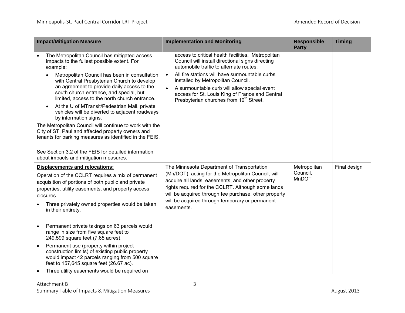| <b>Impact/Mitigation Measure</b>                                                                                                                                                                                                                                                                                                                                                                                                                                                                                                                                                                                                                                                                                   | <b>Implementation and Monitoring</b>                                                                                                                                                                                                                                                                                                                                                                                          | <b>Responsible</b><br><b>Party</b> | <b>Timing</b> |
|--------------------------------------------------------------------------------------------------------------------------------------------------------------------------------------------------------------------------------------------------------------------------------------------------------------------------------------------------------------------------------------------------------------------------------------------------------------------------------------------------------------------------------------------------------------------------------------------------------------------------------------------------------------------------------------------------------------------|-------------------------------------------------------------------------------------------------------------------------------------------------------------------------------------------------------------------------------------------------------------------------------------------------------------------------------------------------------------------------------------------------------------------------------|------------------------------------|---------------|
| The Metropolitan Council has mitigated access<br>impacts to the fullest possible extent. For<br>example:<br>Metropolitan Council has been in consultation<br>with Central Presbyterian Church to develop<br>an agreement to provide daily access to the<br>south church entrance, and special, but<br>limited, access to the north church entrance.<br>At the U of MTransit/Pedestrian Mall, private<br>vehicles will be diverted to adjacent roadways<br>by information signs.<br>The Metropolitan Council will continue to work with the<br>City of ST. Paul and affected property owners and<br>tenants for parking measures as identified in the FEIS.<br>See Section 3.2 of the FEIS for detailed information | access to critical health facilities. Metropolitan<br>Council will install directional signs directing<br>automobile traffic to alternate routes.<br>All fire stations will have surmountable curbs<br>$\bullet$<br>installed by Metropolitan Council.<br>A surmountable curb will allow special event<br>$\bullet$<br>access for St. Louis King of France and Central<br>Presbyterian churches from 10 <sup>th</sup> Street. |                                    |               |
| about impacts and mitigation measures.                                                                                                                                                                                                                                                                                                                                                                                                                                                                                                                                                                                                                                                                             |                                                                                                                                                                                                                                                                                                                                                                                                                               |                                    |               |
| <b>Displacements and relocations:</b><br>Operation of the CCLRT requires a mix of permanent<br>acquisition of portions of both public and private<br>properties, utility easements, and property access<br>closures.<br>Three privately owned properties would be taken<br>in their entirety.                                                                                                                                                                                                                                                                                                                                                                                                                      | The Minnesota Department of Transportation<br>(Mn/DOT), acting for the Metropolitan Council, will<br>acquire all lands, easements, and other property<br>rights required for the CCLRT. Although some lands<br>will be acquired through fee purchase, other property<br>will be acquired through temporary or permanent<br>easements.                                                                                         | Metropolitan<br>Council,<br>MnDOT  | Final design  |
| Permanent private takings on 63 parcels would<br>$\bullet$<br>range in size from five square feet to<br>249,599 square feet (7.65 acres).<br>Permanent use (property within project<br>$\bullet$<br>construction limits) of existing public property<br>would impact 42 parcels ranging from 500 square<br>feet to 157,645 square feet (26.67 ac).<br>Three utility easements would be required on                                                                                                                                                                                                                                                                                                                 |                                                                                                                                                                                                                                                                                                                                                                                                                               |                                    |               |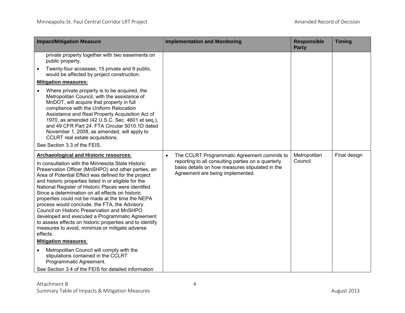| <b>Impact/Mitigation Measure</b>                                                                                                                                                                                                                                                                                                                                                                                                                                                                                                                                                                                                                                                                                   | <b>Implementation and Monitoring</b>                                                                                                                                                                  | <b>Responsible</b><br><b>Party</b> | <b>Timing</b> |
|--------------------------------------------------------------------------------------------------------------------------------------------------------------------------------------------------------------------------------------------------------------------------------------------------------------------------------------------------------------------------------------------------------------------------------------------------------------------------------------------------------------------------------------------------------------------------------------------------------------------------------------------------------------------------------------------------------------------|-------------------------------------------------------------------------------------------------------------------------------------------------------------------------------------------------------|------------------------------------|---------------|
| private property together with two easements on<br>public property.<br>Twenty-four accesses, 15 private and 9 public,<br>$\bullet$                                                                                                                                                                                                                                                                                                                                                                                                                                                                                                                                                                                 |                                                                                                                                                                                                       |                                    |               |
| would be affected by project construction.                                                                                                                                                                                                                                                                                                                                                                                                                                                                                                                                                                                                                                                                         |                                                                                                                                                                                                       |                                    |               |
| <b>Mitigation measures:</b>                                                                                                                                                                                                                                                                                                                                                                                                                                                                                                                                                                                                                                                                                        |                                                                                                                                                                                                       |                                    |               |
| Where private property is to be acquired, the<br>Metropolitan Council, with the assistance of<br>MnDOT, will acquire that property in full<br>compliance with the Uniform Relocation<br>Assistance and Real Property Acquisition Act of<br>1970, as amended (42 U.S.C. Sec. 4601 et seq.),<br>and 49 CFR Part 24. FTA Circular 5010.1D dated<br>November 1, 2008, as amended, will apply to<br>CCLRT real estate acquisitions.<br>See Section 3.3 of the FEIS.                                                                                                                                                                                                                                                     |                                                                                                                                                                                                       |                                    |               |
| Archaeological and Historic resources:<br>In consultation with the Minnesota State Historic<br>Preservation Officer (MnSHPO) and other parties, an<br>Area of Potential Effect was defined for the project<br>and historic properties listed in or eligible for the<br>National Register of Historic Places were identifed.<br>Since a determination on all effects on historic<br>properties could not be made at the time the NEPA<br>process would conclude, the FTA, the Advisory<br>Council on Historic Preservation and MnSHPO<br>developed and executed a Programmatic Agreement<br>to assess effects on historic properties and to identify<br>measures to avoid, minimize or mitigate adverse<br>effects. | The CCLRT Programmatic Agreement commits to<br>$\bullet$<br>reporting to all consulting parties on a quarterly<br>basis details on how measures stipulated in the<br>Agreement are being implemented. | Metropolitan<br>Council            | Final design  |
| <b>Mitigation measures:</b>                                                                                                                                                                                                                                                                                                                                                                                                                                                                                                                                                                                                                                                                                        |                                                                                                                                                                                                       |                                    |               |
| Metropolitan Council will comply with the<br>$\bullet$<br>stipulations contained in the CCLRT<br>Programmatic Agreement.                                                                                                                                                                                                                                                                                                                                                                                                                                                                                                                                                                                           |                                                                                                                                                                                                       |                                    |               |
| See Section 3.4 of the FEIS for detailed information                                                                                                                                                                                                                                                                                                                                                                                                                                                                                                                                                                                                                                                               |                                                                                                                                                                                                       |                                    |               |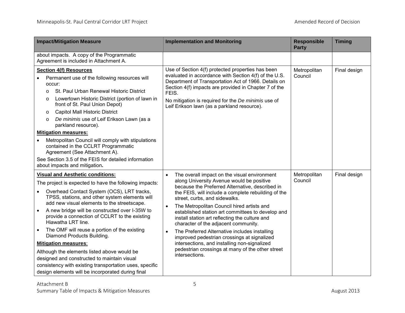| <b>Impact/Mitigation Measure</b>                                                                                                                                                                                                                                                                                                                                                                                                                                                                                                                                                                                                                                                                                               | <b>Implementation and Monitoring</b>                                                                                                                                                                                                                                                                                                                                                                                                                                                                                                                                                                                                                                              | <b>Responsible</b><br><b>Party</b> | <b>Timing</b> |
|--------------------------------------------------------------------------------------------------------------------------------------------------------------------------------------------------------------------------------------------------------------------------------------------------------------------------------------------------------------------------------------------------------------------------------------------------------------------------------------------------------------------------------------------------------------------------------------------------------------------------------------------------------------------------------------------------------------------------------|-----------------------------------------------------------------------------------------------------------------------------------------------------------------------------------------------------------------------------------------------------------------------------------------------------------------------------------------------------------------------------------------------------------------------------------------------------------------------------------------------------------------------------------------------------------------------------------------------------------------------------------------------------------------------------------|------------------------------------|---------------|
| about impacts. A copy of the Programmatic<br>Agreement is included in Attachment A.                                                                                                                                                                                                                                                                                                                                                                                                                                                                                                                                                                                                                                            |                                                                                                                                                                                                                                                                                                                                                                                                                                                                                                                                                                                                                                                                                   |                                    |               |
| <b>Section 4(f) Resources</b><br>Permanent use of the following resources will<br>occur:<br>St. Paul Urban Renewal Historic District<br>$\Omega$<br>Lowertown Historic District (portion of lawn in<br>O<br>front of St. Paul Union Depot)<br><b>Capitol Mall Historic District</b><br>$\circ$<br>De minimis use of Leif Erikson Lawn (as a<br>$\circ$<br>parkland resource).<br><b>Mitigation measures:</b><br>Metropolitan Council will comply with stipulations<br>$\bullet$<br>contained in the CCLRT Programmatic<br>Agreement (See Attachment A).<br>See Section 3.5 of the FEIS for detailed information<br>about impacts and mitigation.                                                                               | Use of Section 4(f) protected properties has been<br>evaluated in accordance with Section 4(f) of the U.S.<br>Department of Transportation Act of 1966. Details on<br>Section 4(f) impacts are provided in Chapter 7 of the<br>FEIS.<br>No mitigation is required for the De minimis use of<br>Leif Erikson lawn (as a parkland resource).                                                                                                                                                                                                                                                                                                                                        | Metropolitan<br>Council            | Final design  |
| <b>Visual and Aesthetic conditions:</b><br>The project is expected to have the following impacts:<br>Overhead Contact System (OCS), LRT tracks,<br>$\bullet$<br>TPSS, stations, and other system elements will<br>add new visual elements to the streetscape.<br>A new bridge will be constructed over I-35W to<br>provide a connection of CCLRT to the existing<br>Hiawatha LRT line.<br>The OMF will reuse a portion of the existing<br>$\bullet$<br>Diamond Products Building.<br><b>Mitigation measures:</b><br>Although the elements listed above would be<br>designed and constructed to maintain visual<br>consistency with existing transportation uses, specific<br>design elements will be incorporated during final | The overall impact on the visual environment<br>along University Avenue would be positive<br>because the Preferred Alternative, described in<br>the FEIS, will include a complete rebuilding of the<br>street, curbs, and sidewalks.<br>The Metropolitan Council hired artists and<br>$\bullet$<br>established station art committees to develop and<br>install station art reflecting the culture and<br>character of the adjacent community.<br>The Preferred Alternative includes installing<br>$\bullet$<br>improved pedestrian crossings at signalized<br>intersections, and installing non-signalized<br>pedestrian crossings at many of the other street<br>intersections. | Metropolitan<br>Council            | Final design  |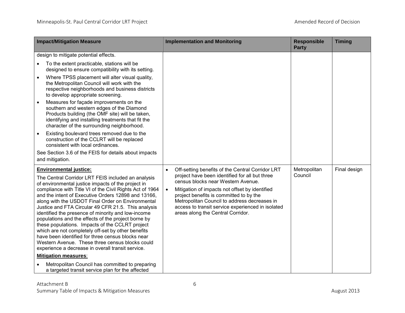| <b>Impact/Mitigation Measure</b>                                                                                                                                                                                                                                                                                                                                                                                                                                                                                                                                                                                                                                                                                                                            | <b>Implementation and Monitoring</b>                                                                                                                                                                                                                                                                                                                                                                      | <b>Responsible</b><br><b>Party</b> | <b>Timing</b> |
|-------------------------------------------------------------------------------------------------------------------------------------------------------------------------------------------------------------------------------------------------------------------------------------------------------------------------------------------------------------------------------------------------------------------------------------------------------------------------------------------------------------------------------------------------------------------------------------------------------------------------------------------------------------------------------------------------------------------------------------------------------------|-----------------------------------------------------------------------------------------------------------------------------------------------------------------------------------------------------------------------------------------------------------------------------------------------------------------------------------------------------------------------------------------------------------|------------------------------------|---------------|
| design to mitigate potential effects.                                                                                                                                                                                                                                                                                                                                                                                                                                                                                                                                                                                                                                                                                                                       |                                                                                                                                                                                                                                                                                                                                                                                                           |                                    |               |
| To the extent practicable, stations will be<br>$\bullet$<br>designed to ensure compatibility with its setting.                                                                                                                                                                                                                                                                                                                                                                                                                                                                                                                                                                                                                                              |                                                                                                                                                                                                                                                                                                                                                                                                           |                                    |               |
| Where TPSS placement will alter visual quality,<br>$\bullet$<br>the Metropolitan Council will work with the<br>respective neighborhoods and business districts<br>to develop appropriate screening.                                                                                                                                                                                                                                                                                                                                                                                                                                                                                                                                                         |                                                                                                                                                                                                                                                                                                                                                                                                           |                                    |               |
| Measures for façade improvements on the<br>$\bullet$<br>southern and western edges of the Diamond<br>Products building (the OMF site) will be taken,<br>identifying and installing treatments that fit the<br>character of the surrounding neighborhood.                                                                                                                                                                                                                                                                                                                                                                                                                                                                                                    |                                                                                                                                                                                                                                                                                                                                                                                                           |                                    |               |
| Existing boulevard trees removed due to the<br>$\bullet$<br>construction of the CCLRT will be replaced<br>consistent with local ordinances.                                                                                                                                                                                                                                                                                                                                                                                                                                                                                                                                                                                                                 |                                                                                                                                                                                                                                                                                                                                                                                                           |                                    |               |
| See Section 3.6 of the FEIS for details about impacts<br>and mitigation.                                                                                                                                                                                                                                                                                                                                                                                                                                                                                                                                                                                                                                                                                    |                                                                                                                                                                                                                                                                                                                                                                                                           |                                    |               |
| <b>Environmental justice:</b><br>The Central Corridor LRT FEIS included an analysis<br>of environmental justice impacts of the project in<br>compliance with Title VI of the Civil Rights Act of 1964<br>and the intent of Executive Orders 12898 and 13166,<br>along with the USDOT Final Order on Environmental<br>Justice and FTA Circular 49 CFR 21.5. This analysis<br>identified the presence of minority and low-income<br>populations and the effects of the project borne by<br>these populations. Impacts of the CCLRT project<br>which are not completely off-set by other benefits<br>have been identified for three census blocks near<br>Western Avenue. These three census blocks could<br>experience a decrease in overall transit service. | Off-setting benefits of the Central Corridor LRT<br>$\bullet$<br>project have been identified for all but three<br>census blocks near Western Avenue.<br>Mitigation of impacts not offset by identified<br>$\bullet$<br>project benefits is committed to by the<br>Metropolitan Council to address decreases in<br>access to transit service experienced in isolated<br>areas along the Central Corridor. | Metropolitan<br>Council            | Final design  |
| <b>Mitigation measures:</b>                                                                                                                                                                                                                                                                                                                                                                                                                                                                                                                                                                                                                                                                                                                                 |                                                                                                                                                                                                                                                                                                                                                                                                           |                                    |               |
| Metropolitan Council has committed to preparing<br>$\bullet$<br>a targeted transit service plan for the affected                                                                                                                                                                                                                                                                                                                                                                                                                                                                                                                                                                                                                                            |                                                                                                                                                                                                                                                                                                                                                                                                           |                                    |               |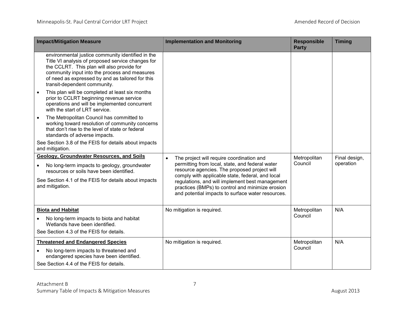| <b>Impact/Mitigation Measure</b>                                                                                                                                                                                                                                                          | <b>Implementation and Monitoring</b>                                                                                                                                                                                                                                                                                                                                      | <b>Responsible</b><br><b>Party</b> | <b>Timing</b>              |
|-------------------------------------------------------------------------------------------------------------------------------------------------------------------------------------------------------------------------------------------------------------------------------------------|---------------------------------------------------------------------------------------------------------------------------------------------------------------------------------------------------------------------------------------------------------------------------------------------------------------------------------------------------------------------------|------------------------------------|----------------------------|
| environmental justice community identified in the<br>Title VI analysis of proposed service changes for<br>the CCLRT. This plan will also provide for<br>community input into the process and measures<br>of need as expressed by and as tailored for this<br>transit-dependent community. |                                                                                                                                                                                                                                                                                                                                                                           |                                    |                            |
| This plan will be completed at least six months<br>prior to CCLRT beginning revenue service<br>operations and will be implemented concurrent<br>with the start of LRT service.                                                                                                            |                                                                                                                                                                                                                                                                                                                                                                           |                                    |                            |
| The Metropolitan Council has committed to<br>$\bullet$<br>working toward resolution of community concerns<br>that don't rise to the level of state or federal<br>standards of adverse impacts.                                                                                            |                                                                                                                                                                                                                                                                                                                                                                           |                                    |                            |
| See Section 3.8 of the FEIS for details about impacts<br>and mitigation.                                                                                                                                                                                                                  |                                                                                                                                                                                                                                                                                                                                                                           |                                    |                            |
| Geology, Groundwater Resources, and Soils<br>No long-term impacts to geology, groundwater<br>$\bullet$<br>resources or soils have been identified.<br>See Section 4.1 of the FEIS for details about impacts<br>and mitigation.                                                            | The project will require coordination and<br>$\bullet$<br>permitting from local, state, and federal water<br>resource agencies. The proposed project will<br>comply with applicable state, federal, and local<br>regulations, and will implement best management<br>practices (BMPs) to control and minimize erosion<br>and potential impacts to surface water resources. | Metropolitan<br>Council            | Final design,<br>operation |
| <b>Biota and Habitat</b><br>No long-term impacts to biota and habitat<br>Wetlands have been identified.<br>See Section 4.3 of the FEIS for details.                                                                                                                                       | No mitigation is required.                                                                                                                                                                                                                                                                                                                                                | Metropolitan<br>Council            | N/A                        |
| <b>Threatened and Endangered Species</b><br>No long-term impacts to threatened and<br>$\bullet$<br>endangered species have been identified.<br>See Section 4.4 of the FEIS for details.                                                                                                   | No mitigation is required.                                                                                                                                                                                                                                                                                                                                                | Metropolitan<br>Council            | N/A                        |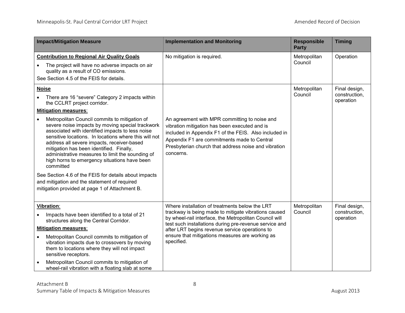| <b>Impact/Mitigation Measure</b>                                                                                                                                                                                                                                                                                                                                                                                                                                                                                                                                                                                                                                                                                      | <b>Implementation and Monitoring</b>                                                                                                                                                                                                                                                                                                          | <b>Responsible</b><br><b>Party</b> | <b>Timing</b>                               |
|-----------------------------------------------------------------------------------------------------------------------------------------------------------------------------------------------------------------------------------------------------------------------------------------------------------------------------------------------------------------------------------------------------------------------------------------------------------------------------------------------------------------------------------------------------------------------------------------------------------------------------------------------------------------------------------------------------------------------|-----------------------------------------------------------------------------------------------------------------------------------------------------------------------------------------------------------------------------------------------------------------------------------------------------------------------------------------------|------------------------------------|---------------------------------------------|
| <b>Contribution to Regional Air Quality Goals</b><br>The project will have no adverse impacts on air<br>quality as a result of CO emissions.<br>See Section 4.5 of the FEIS for details.                                                                                                                                                                                                                                                                                                                                                                                                                                                                                                                              | No mitigation is required.                                                                                                                                                                                                                                                                                                                    | Metropolitan<br>Council            | Operation                                   |
| <b>Noise</b><br>There are 16 "severe" Category 2 impacts within<br>the CCLRT project corridor.<br><b>Mitigation measures:</b><br>Metropolitan Council commits to mitigation of<br>severe noise impacts by moving special trackwork<br>associated with identified impacts to less noise<br>sensitive locations. In locations where this will not<br>address all severe impacts, receiver-based<br>mitigation has been identified. Finally,<br>administrative measures to limit the sounding of<br>high horns to emergency situations have been<br>committed<br>See Section 4.6 of the FEIS for details about impacts<br>and mitigation and the statement of required<br>mitigation provided at page 1 of Attachment B. | An agreement with MPR committing to noise and<br>vibration mitigation has been executed and is<br>included in Appendix F1 of the FEIS. Also included in<br>Appendix F1 are commitments made to Central<br>Presbyterian church that address noise and vibration<br>concerns.                                                                   | Metropolitan<br>Council            | Final design,<br>construction,<br>operation |
| Vibration:<br>Impacts have been identified to a total of 21<br>structures along the Central Corridor.<br><b>Mitigation measures:</b><br>Metropolitan Council commits to mitigation of<br>vibration impacts due to crossovers by moving<br>them to locations where they will not impact<br>sensitive receptors.<br>Metropolitan Council commits to mitigation of<br>wheel-rail vibration with a floating slab at some                                                                                                                                                                                                                                                                                                  | Where installation of treatments below the LRT<br>trackway is being made to mitigate vibrations caused<br>by wheel-rail interface, the Metropolitan Council will<br>test such installations during pre-revenue service and<br>after LRT begins revenue service operations to<br>ensure that mitigations measures are working as<br>specified. | Metropolitan<br>Council            | Final design,<br>construction,<br>operation |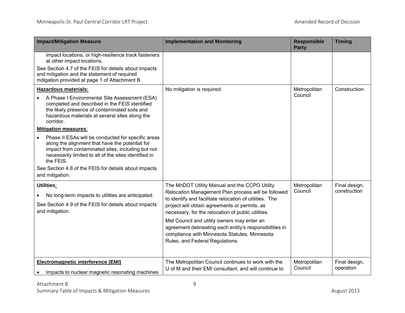| <b>Impact/Mitigation Measure</b>                                                                                                                                                                                                                                                                                                                                                                                                                                                                                                                                                              | <b>Implementation and Monitoring</b>                                                                                                                                                                                                                                                                                                                                                                                                                                 | <b>Responsible</b><br><b>Party</b> | <b>Timing</b>                 |
|-----------------------------------------------------------------------------------------------------------------------------------------------------------------------------------------------------------------------------------------------------------------------------------------------------------------------------------------------------------------------------------------------------------------------------------------------------------------------------------------------------------------------------------------------------------------------------------------------|----------------------------------------------------------------------------------------------------------------------------------------------------------------------------------------------------------------------------------------------------------------------------------------------------------------------------------------------------------------------------------------------------------------------------------------------------------------------|------------------------------------|-------------------------------|
| impact locations, or high-resilience track fasteners<br>at other impact locations.<br>See Section 4.7 of the FEIS for details about impacts<br>and mitigation and the statement of required<br>mitigation provided at page 1 of Attachment B.                                                                                                                                                                                                                                                                                                                                                 |                                                                                                                                                                                                                                                                                                                                                                                                                                                                      |                                    |                               |
| <b>Hazardous materials:</b><br>A Phase I Environmental Site Assessment (ESA)<br>completed and described in the FEIS identified<br>the likely presence of contaminated soils and<br>hazardous materials at several sites along the<br>corridor.<br><b>Mitigation measures:</b><br>Phase II ESAs will be conducted for specific areas<br>along the alignment that have the potential for<br>impact from contaminated sites, including but not<br>necessarily limited to all of the sites identified in<br>the FEIS.<br>See Section 4.8 of the FEIS for details about impacts<br>and mitigation. | No mitigation is required.                                                                                                                                                                                                                                                                                                                                                                                                                                           | Metropolitan<br>Council            | Construction                  |
| Utilities:<br>No long-term impacts to utilities are anticipated.<br>See Section 4.9 of the FEIS for details about impacts<br>and mitigation.                                                                                                                                                                                                                                                                                                                                                                                                                                                  | The MnDOT Utility Manual and the CCPO Utility<br>Relocation Management Plan process will be followed<br>to identify and facilitate relocation of utilities. The<br>project will obtain agreements or permits, as<br>necessary, for the relocation of public utilities.<br>Met Council and utility owners may enter an<br>agreement delineating each entity's responsibilities in<br>compliance with Minnesota Statutes, Minnesota<br>Rules, and Federal Regulations. | Metropolitan<br>Council            | Final design,<br>construction |
| Electromagnetic interference (EMI)<br>Impacts to nuclear magnetic resonating machines                                                                                                                                                                                                                                                                                                                                                                                                                                                                                                         | The Metropolitan Council continues to work with the<br>U of M and their EMI consultant, and will continue to                                                                                                                                                                                                                                                                                                                                                         | Metropolitan<br>Council            | Final design,<br>operation    |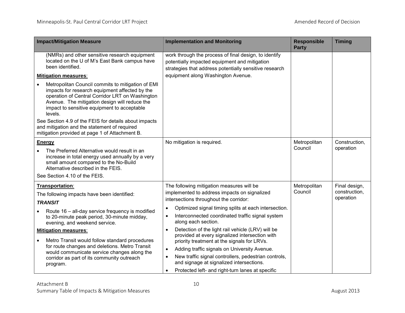| <b>Impact/Mitigation Measure</b>                                                                                                                                                                                                                                  | <b>Implementation and Monitoring</b>                                                                                                                             | <b>Responsible</b><br><b>Party</b> | <b>Timing</b>                               |
|-------------------------------------------------------------------------------------------------------------------------------------------------------------------------------------------------------------------------------------------------------------------|------------------------------------------------------------------------------------------------------------------------------------------------------------------|------------------------------------|---------------------------------------------|
| (NMRs) and other sensitive research equipment<br>located on the U of M's East Bank campus have<br>been identified.                                                                                                                                                | work through the process of final design, to identify<br>potentially impacted equipment and mitigation<br>strategies that address potentially sensitive research |                                    |                                             |
| <b>Mitigation measures:</b>                                                                                                                                                                                                                                       | equipment along Washington Avenue.                                                                                                                               |                                    |                                             |
| Metropolitan Council commits to mitigation of EMI<br>impacts for research equipment affected by the<br>operation of Central Corridor LRT on Washington<br>Avenue. The mitigation design will reduce the<br>impact to sensitive equipment to acceptable<br>levels. |                                                                                                                                                                  |                                    |                                             |
| See Section 4.9 of the FEIS for details about impacts<br>and mitigation and the statement of required<br>mitigation provided at page 1 of Attachment B.                                                                                                           |                                                                                                                                                                  |                                    |                                             |
| <b>Energy</b>                                                                                                                                                                                                                                                     | No mitigation is required.                                                                                                                                       | Metropolitan                       | Construction,                               |
| The Preferred Alternative would result in an<br>increase in total energy used annually by a very<br>small amount compared to the No-Build<br>Alternative described in the FEIS.                                                                                   |                                                                                                                                                                  | Council                            | operation                                   |
| See Section 4.10 of the FEIS.                                                                                                                                                                                                                                     |                                                                                                                                                                  |                                    |                                             |
| Transportation:<br>The following impacts have been identified:<br><b>TRANSIT</b>                                                                                                                                                                                  | The following mitigation measures will be<br>implemented to address impacts on signalized<br>intersections throughout the corridor:                              | Metropolitan<br>Council            | Final design,<br>construction.<br>operation |
| Route 16 – all-day service frequency is modified                                                                                                                                                                                                                  | Optimized signal timing splits at each intersection.<br>$\bullet$                                                                                                |                                    |                                             |
| to 20-minute peak period, 30-minute midday,<br>evening, and weekend service.                                                                                                                                                                                      | Interconnected coordinated traffic signal system<br>$\bullet$<br>along each section.                                                                             |                                    |                                             |
| <b>Mitigation measures:</b><br>Metro Transit would follow standard procedures<br>$\bullet$                                                                                                                                                                        | Detection of the light rail vehicle (LRV) will be<br>$\bullet$<br>provided at every signalized intersection with<br>priority treatment at the signals for LRVs.  |                                    |                                             |
| for route changes and deletions. Metro Transit                                                                                                                                                                                                                    | Adding traffic signals on University Avenue.<br>$\bullet$                                                                                                        |                                    |                                             |
| would communicate service changes along the<br>corridor as part of its community outreach<br>program.                                                                                                                                                             | New traffic signal controllers, pedestrian controls,<br>$\bullet$<br>and signage at signalized intersections.                                                    |                                    |                                             |
|                                                                                                                                                                                                                                                                   | Protected left- and right-turn lanes at specific<br>$\bullet$                                                                                                    |                                    |                                             |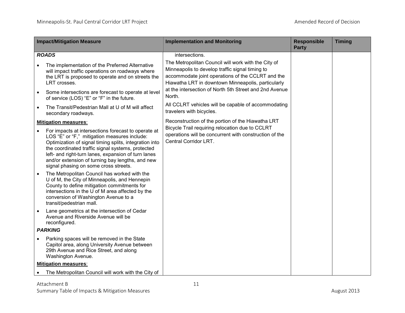|           | <b>Impact/Mitigation Measure</b>                                                                                                                                                                                                                                                                                                                                                                                       | <b>Implementation and Monitoring</b>                                                                                                                                                                              | <b>Responsible</b><br><b>Party</b> | <b>Timing</b> |
|-----------|------------------------------------------------------------------------------------------------------------------------------------------------------------------------------------------------------------------------------------------------------------------------------------------------------------------------------------------------------------------------------------------------------------------------|-------------------------------------------------------------------------------------------------------------------------------------------------------------------------------------------------------------------|------------------------------------|---------------|
|           | <b>ROADS</b>                                                                                                                                                                                                                                                                                                                                                                                                           | intersections.                                                                                                                                                                                                    |                                    |               |
|           | The implementation of the Preferred Alternative<br>will impact traffic operations on roadways where<br>the LRT is proposed to operate and on streets the<br>LRT crosses.                                                                                                                                                                                                                                               | The Metropolitan Council will work with the City of<br>Minneapolis to develop traffic signal timing to<br>accommodate joint operations of the CCLRT and the<br>Hiawatha LRT in downtown Minneapolis, particularly |                                    |               |
| $\bullet$ | Some intersections are forecast to operate at level<br>of service (LOS) "E" or "F" in the future.                                                                                                                                                                                                                                                                                                                      | at the intersection of North 5th Street and 2nd Avenue<br>North.                                                                                                                                                  |                                    |               |
| $\bullet$ | The Transit/Pedestrian Mall at U of M will affect<br>secondary roadways.                                                                                                                                                                                                                                                                                                                                               | All CCLRT vehicles will be capable of accommodating<br>travelers with bicycles.                                                                                                                                   |                                    |               |
|           | <b>Mitigation measures:</b>                                                                                                                                                                                                                                                                                                                                                                                            | Reconstruction of the portion of the Hiawatha LRT                                                                                                                                                                 |                                    |               |
| $\bullet$ | For impacts at intersections forecast to operate at<br>LOS "E" or "F," mitigation measures include:<br>Optimization of signal timing splits, integration into<br>the coordinated traffic signal systems, protected<br>left- and right-turn lanes, expansion of turn lanes<br>and/or extension of turning bay lengths, and new<br>signal phasing on some cross streets.<br>The Metropolitan Council has worked with the | Bicycle Trail requiring relocation due to CCLRT<br>operations will be concurrent with construction of the<br>Central Corridor LRT.                                                                                |                                    |               |
|           | U of M, the City of Minneapolis, and Hennepin<br>County to define mitigation commitments for<br>intersections in the U of M area affected by the<br>conversion of Washington Avenue to a<br>transit/pedestrian mall.                                                                                                                                                                                                   |                                                                                                                                                                                                                   |                                    |               |
| $\bullet$ | Lane geometrics at the intersection of Cedar<br>Avenue and Riverside Avenue will be<br>reconfigured.                                                                                                                                                                                                                                                                                                                   |                                                                                                                                                                                                                   |                                    |               |
|           | <b>PARKING</b>                                                                                                                                                                                                                                                                                                                                                                                                         |                                                                                                                                                                                                                   |                                    |               |
|           | Parking spaces will be removed in the State<br>Capitol area, along University Avenue between<br>29th Avenue and Rice Street, and along<br>Washington Avenue.                                                                                                                                                                                                                                                           |                                                                                                                                                                                                                   |                                    |               |
|           | <b>Mitigation measures:</b>                                                                                                                                                                                                                                                                                                                                                                                            |                                                                                                                                                                                                                   |                                    |               |
|           | The Metropolitan Council will work with the City of                                                                                                                                                                                                                                                                                                                                                                    |                                                                                                                                                                                                                   |                                    |               |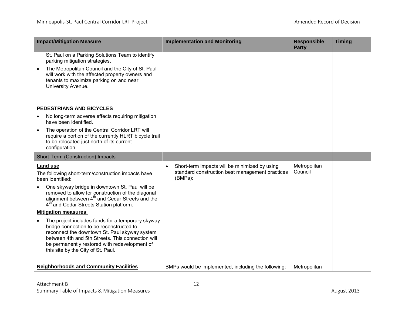| <b>Impact/Mitigation Measure</b>                                                                                                                                                                                                                                                                        | <b>Implementation and Monitoring</b>                       | <b>Responsible</b><br><b>Party</b> | <b>Timing</b> |
|---------------------------------------------------------------------------------------------------------------------------------------------------------------------------------------------------------------------------------------------------------------------------------------------------------|------------------------------------------------------------|------------------------------------|---------------|
| St. Paul on a Parking Solutions Team to identify<br>parking mitigation strategies.                                                                                                                                                                                                                      |                                                            |                                    |               |
| The Metropolitan Council and the City of St. Paul<br>will work with the affected property owners and<br>tenants to maximize parking on and near<br>University Avenue.                                                                                                                                   |                                                            |                                    |               |
| PEDESTRIANS AND BICYCLES                                                                                                                                                                                                                                                                                |                                                            |                                    |               |
| No long-term adverse effects requiring mitigation<br>have been identified.                                                                                                                                                                                                                              |                                                            |                                    |               |
| The operation of the Central Corridor LRT will<br>$\bullet$<br>require a portion of the currently HLRT bicycle trail<br>to be relocated just north of its current<br>configuration.                                                                                                                     |                                                            |                                    |               |
| Short-Term (Construction) Impacts                                                                                                                                                                                                                                                                       |                                                            |                                    |               |
| <b>Land use</b>                                                                                                                                                                                                                                                                                         | Short-term impacts will be minimized by using<br>$\bullet$ | Metropolitan                       |               |
| The following short-term/construction impacts have<br>been identified:                                                                                                                                                                                                                                  | standard construction best management practices<br>(BMPs): | Council                            |               |
|                                                                                                                                                                                                                                                                                                         |                                                            |                                    |               |
| One skyway bridge in downtown St. Paul will be<br>removed to allow for construction of the diagonal<br>alignment between 4 <sup>th</sup> and Cedar Streets and the<br>4 <sup>th</sup> and Cedar Streets Station platform.                                                                               |                                                            |                                    |               |
| <b>Mitigation measures:</b>                                                                                                                                                                                                                                                                             |                                                            |                                    |               |
| The project includes funds for a temporary skyway<br>$\bullet$<br>bridge connection to be reconstructed to<br>reconnect the downtown St. Paul skyway system<br>between 4th and 5th Streets. This connection will<br>be permanently restored with redevelopment of<br>this site by the City of St. Paul. |                                                            |                                    |               |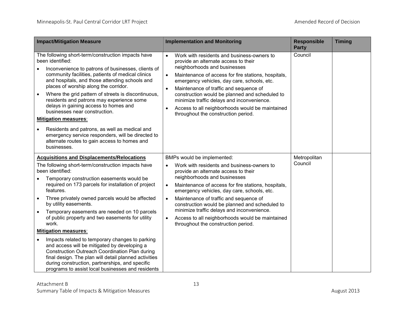| <b>Impact/Mitigation Measure</b>                                                                                                                                                                                                                                                                                                                                                                                                                                                                                                                                                                                                                                                                                                                                                                                            | <b>Implementation and Monitoring</b>                                                                                                                                                                                                                                                                                                                                                                                                                                                                                              | <b>Responsible</b><br><b>Party</b> | <b>Timing</b> |
|-----------------------------------------------------------------------------------------------------------------------------------------------------------------------------------------------------------------------------------------------------------------------------------------------------------------------------------------------------------------------------------------------------------------------------------------------------------------------------------------------------------------------------------------------------------------------------------------------------------------------------------------------------------------------------------------------------------------------------------------------------------------------------------------------------------------------------|-----------------------------------------------------------------------------------------------------------------------------------------------------------------------------------------------------------------------------------------------------------------------------------------------------------------------------------------------------------------------------------------------------------------------------------------------------------------------------------------------------------------------------------|------------------------------------|---------------|
| The following short-term/construction impacts have<br>been identified:<br>Inconvenience to patrons of businesses, clients of<br>community facilities, patients of medical clinics<br>and hospitals, and those attending schools and<br>places of worship along the corridor.<br>Where the grid pattern of streets is discontinuous,<br>$\bullet$<br>residents and patrons may experience some<br>delays in gaining access to homes and<br>businesses near construction.<br><b>Mitigation measures:</b><br>Residents and patrons, as well as medical and<br>emergency service responders, will be directed to<br>alternate routes to gain access to homes and<br>businesses.                                                                                                                                                 | Work with residents and business-owners to<br>$\bullet$<br>provide an alternate access to their<br>neighborhoods and businesses<br>Maintenance of access for fire stations, hospitals,<br>$\bullet$<br>emergency vehicles, day care, schools, etc.<br>Maintenance of traffic and sequence of<br>$\bullet$<br>construction would be planned and scheduled to<br>minimize traffic delays and inconvenience.<br>Access to all neighborhoods would be maintained<br>$\bullet$<br>throughout the construction period.                  | Council                            |               |
| <b>Acquisitions and Displacements/Relocations</b><br>The following short-term/construction impacts have<br>been identified:<br>Temporary construction easements would be<br>required on 173 parcels for installation of project<br>features.<br>Three privately owned parcels would be affected<br>$\bullet$<br>by utility easements.<br>Temporary easements are needed on 10 parcels<br>of public property and two easements for utility<br>work.<br><b>Mitigation measures:</b><br>Impacts related to temporary changes to parking<br>$\bullet$<br>and access will be mitigated by developing a<br><b>Construction Outreach Coordination Plan during</b><br>final design. The plan will detail planned activities<br>during construction, partnerships, and specific<br>programs to assist local businesses and residents | BMPs would be implemented:<br>Work with residents and business-owners to<br>provide an alternate access to their<br>neighborhoods and businesses<br>Maintenance of access for fire stations, hospitals,<br>$\bullet$<br>emergency vehicles, day care, schools, etc.<br>Maintenance of traffic and sequence of<br>$\bullet$<br>construction would be planned and scheduled to<br>minimize traffic delays and inconvenience.<br>Access to all neighborhoods would be maintained<br>$\bullet$<br>throughout the construction period. | Metropolitan<br>Council            |               |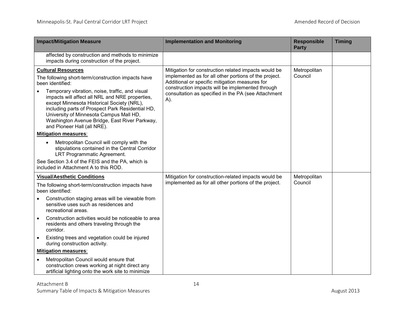| <b>Impact/Mitigation Measure</b>                                                                                                                                                                                                                                                                                                                                                                                                       | <b>Implementation and Monitoring</b>                                                                                                                                                                                                                                              | <b>Responsible</b><br><b>Party</b> | <b>Timing</b> |
|----------------------------------------------------------------------------------------------------------------------------------------------------------------------------------------------------------------------------------------------------------------------------------------------------------------------------------------------------------------------------------------------------------------------------------------|-----------------------------------------------------------------------------------------------------------------------------------------------------------------------------------------------------------------------------------------------------------------------------------|------------------------------------|---------------|
| affected by construction and methods to minimize<br>impacts during construction of the project.                                                                                                                                                                                                                                                                                                                                        |                                                                                                                                                                                                                                                                                   |                                    |               |
| <b>Cultural Resources</b><br>The following short-term/construction impacts have<br>been identified:<br>Temporary vibration, noise, traffic, and visual<br>impacts will affect all NRL and NRE properties,<br>except Minnesota Historical Society (NRL),<br>including parts of Prospect Park Residential HD,<br>University of Minnesota Campus Mall HD,<br>Washington Avenue Bridge, East River Parkway,<br>and Pioneer Hall (all NRE). | Mitigation for construction related impacts would be<br>implemented as for all other portions of the project.<br>Additional or specific mitigation measures for<br>construction impacts will be implemented through<br>consultation as specified in the PA (see Attachment<br>A). | Metropolitan<br>Council            |               |
| <b>Mitigation measures:</b>                                                                                                                                                                                                                                                                                                                                                                                                            |                                                                                                                                                                                                                                                                                   |                                    |               |
| Metropolitan Council will comply with the<br>$\bullet$<br>stipulations contained in the Central Corridor<br>LRT Programmatic Agreement.                                                                                                                                                                                                                                                                                                |                                                                                                                                                                                                                                                                                   |                                    |               |
| See Section 3.4 of the FEIS and the PA, which is<br>included in Attachment A to this ROD.                                                                                                                                                                                                                                                                                                                                              |                                                                                                                                                                                                                                                                                   |                                    |               |
| <b>Visual/Aesthetic Conditions</b>                                                                                                                                                                                                                                                                                                                                                                                                     | Mitigation for construction-related impacts would be                                                                                                                                                                                                                              | Metropolitan                       |               |
| The following short-term/construction impacts have<br>been identified:                                                                                                                                                                                                                                                                                                                                                                 | implemented as for all other portions of the project.                                                                                                                                                                                                                             | Council                            |               |
| Construction staging areas will be viewable from<br>sensitive uses such as residences and<br>recreational areas.                                                                                                                                                                                                                                                                                                                       |                                                                                                                                                                                                                                                                                   |                                    |               |
| Construction activities would be noticeable to area<br>residents and others traveling through the<br>corridor.                                                                                                                                                                                                                                                                                                                         |                                                                                                                                                                                                                                                                                   |                                    |               |
| Existing trees and vegetation could be injured<br>٠<br>during construction activity.                                                                                                                                                                                                                                                                                                                                                   |                                                                                                                                                                                                                                                                                   |                                    |               |
| <b>Mitigation measures:</b>                                                                                                                                                                                                                                                                                                                                                                                                            |                                                                                                                                                                                                                                                                                   |                                    |               |
| Metropolitan Council would ensure that<br>construction crews working at night direct any<br>artificial lighting onto the work site to minimize                                                                                                                                                                                                                                                                                         |                                                                                                                                                                                                                                                                                   |                                    |               |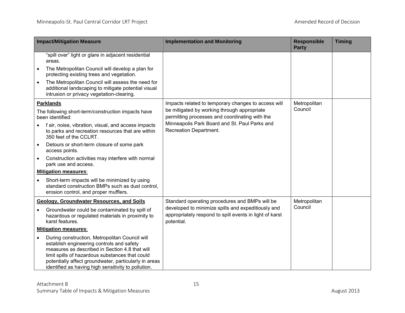|           | <b>Impact/Mitigation Measure</b>                                                                                                                                                                                                                                                                                 | <b>Implementation and Monitoring</b>                                                                                        | <b>Responsible</b><br><b>Party</b> | <b>Timing</b> |
|-----------|------------------------------------------------------------------------------------------------------------------------------------------------------------------------------------------------------------------------------------------------------------------------------------------------------------------|-----------------------------------------------------------------------------------------------------------------------------|------------------------------------|---------------|
|           | "spill over" light or glare in adjacent residential<br>areas.                                                                                                                                                                                                                                                    |                                                                                                                             |                                    |               |
|           | The Metropolitan Council will develop a plan for<br>protecting existing trees and vegetation.                                                                                                                                                                                                                    |                                                                                                                             |                                    |               |
| $\bullet$ | The Metropolitan Council will assess the need for<br>additional landscaping to mitigate potential visual<br>intrusion or privacy vegetation-clearing.                                                                                                                                                            |                                                                                                                             |                                    |               |
|           | <b>Parklands</b>                                                                                                                                                                                                                                                                                                 | Impacts related to temporary changes to access will                                                                         | Metropolitan                       |               |
|           | The following short-term/construction impacts have<br>been identified:                                                                                                                                                                                                                                           | be mitigated by working through appropriate<br>permitting processes and coordinating with the                               | Council                            |               |
|           | f air, noise, vibration, visual, and access impacts<br>to parks and recreation resources that are within<br>350 feet of the CCLRT.                                                                                                                                                                               | Minneapolis Park Board and St. Paul Parks and<br>Recreation Department.                                                     |                                    |               |
| $\bullet$ | Detours or short-term closure of some park<br>access points.                                                                                                                                                                                                                                                     |                                                                                                                             |                                    |               |
| $\bullet$ | Construction activities may interfere with normal<br>park use and access.                                                                                                                                                                                                                                        |                                                                                                                             |                                    |               |
|           | <b>Mitigation measures:</b>                                                                                                                                                                                                                                                                                      |                                                                                                                             |                                    |               |
|           | Short-term impacts will be minimized by using<br>standard construction BMPs such as dust control,<br>erosion control, and proper mufflers.                                                                                                                                                                       |                                                                                                                             |                                    |               |
|           | <b>Geology, Groundwater Resources, and Soils</b>                                                                                                                                                                                                                                                                 | Standard operating procedures and BMPs will be                                                                              | Metropolitan                       |               |
|           | Groundwater could be contaminated by spill of<br>hazardous or regulated materials in proximity to<br>karst features.                                                                                                                                                                                             | developed to minimize spills and expeditiously and<br>appropriately respond to spill events in light of karst<br>potential. | Council                            |               |
|           | <b>Mitigation measures:</b>                                                                                                                                                                                                                                                                                      |                                                                                                                             |                                    |               |
| $\bullet$ | During construction, Metropolitan Council will<br>establish engineering controls and safety<br>measures as described in Section 4.8 that will<br>limit spills of hazardous substances that could<br>potentially affect groundwater, particularly in areas<br>identified as having high sensitivity to pollution. |                                                                                                                             |                                    |               |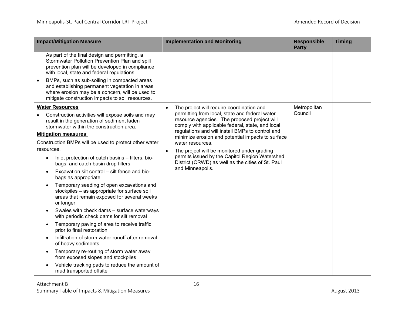| <b>Impact/Mitigation Measure</b>                                                                                                                                                                                                                                                                                                                                                                                                                                                                                                                                                                                                                                                                                                                                                                                                                                                                                                                                                                                                                                                        | <b>Implementation and Monitoring</b>                                                                                                                                                                                                                                                                                                                                                                                                                                                                                             | <b>Responsible</b><br><b>Party</b> | <b>Timing</b> |
|-----------------------------------------------------------------------------------------------------------------------------------------------------------------------------------------------------------------------------------------------------------------------------------------------------------------------------------------------------------------------------------------------------------------------------------------------------------------------------------------------------------------------------------------------------------------------------------------------------------------------------------------------------------------------------------------------------------------------------------------------------------------------------------------------------------------------------------------------------------------------------------------------------------------------------------------------------------------------------------------------------------------------------------------------------------------------------------------|----------------------------------------------------------------------------------------------------------------------------------------------------------------------------------------------------------------------------------------------------------------------------------------------------------------------------------------------------------------------------------------------------------------------------------------------------------------------------------------------------------------------------------|------------------------------------|---------------|
| As part of the final design and permitting, a<br>Stormwater Pollution Prevention Plan and spill<br>prevention plan will be developed in compliance<br>with local, state and federal regulations.                                                                                                                                                                                                                                                                                                                                                                                                                                                                                                                                                                                                                                                                                                                                                                                                                                                                                        |                                                                                                                                                                                                                                                                                                                                                                                                                                                                                                                                  |                                    |               |
| BMPs, such as sub-soiling in compacted areas<br>$\bullet$<br>and establishing permanent vegetation in areas<br>where erosion may be a concern, will be used to<br>mitigate construction impacts to soil resources.                                                                                                                                                                                                                                                                                                                                                                                                                                                                                                                                                                                                                                                                                                                                                                                                                                                                      |                                                                                                                                                                                                                                                                                                                                                                                                                                                                                                                                  |                                    |               |
| <b>Water Resources</b><br>Construction activities will expose soils and may<br>result in the generation of sediment laden<br>stormwater within the construction area.<br><b>Mitigation measures:</b><br>Construction BMPs will be used to protect other water<br>resources.<br>Inlet protection of catch basins - filters, bio-<br>$\bullet$<br>bags, and catch basin drop filters<br>Excavation silt control - silt fence and bio-<br>$\bullet$<br>bags as appropriate<br>Temporary seeding of open excavations and<br>stockpiles - as appropriate for surface soil<br>areas that remain exposed for several weeks<br>or longer<br>Swales with check dams - surface waterways<br>with periodic check dams for silt removal<br>Temporary paving of area to receive traffic<br>$\bullet$<br>prior to final restoration<br>Infiltration of storm water runoff after removal<br>$\bullet$<br>of heavy sediments<br>Temporary re-routing of storm water away<br>$\bullet$<br>from exposed slopes and stockpiles<br>Vehicle tracking pads to reduce the amount of<br>mud transported offsite | The project will require coordination and<br>$\bullet$<br>permitting from local, state and federal water<br>resource agencies. The proposed project will<br>comply with applicable federal, state, and local<br>regulations and will install BMPs to control and<br>minimize erosion and potential impacts to surface<br>water resources.<br>The project will be monitored under grading<br>$\bullet$<br>permits issued by the Capitol Region Watershed<br>District (CRWD) as well as the cities of St. Paul<br>and Minneapolis. | Metropolitan<br>Council            |               |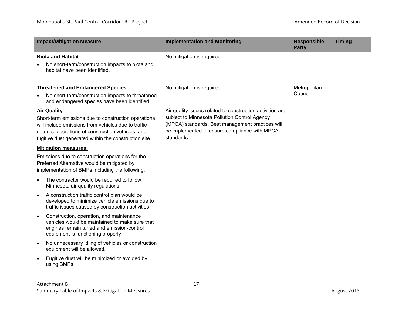| <b>Impact/Mitigation Measure</b>                                                                                                                                                                                                               | <b>Implementation and Monitoring</b>                                                                                                                                                                                          | <b>Responsible</b><br><b>Party</b> | <b>Timing</b> |
|------------------------------------------------------------------------------------------------------------------------------------------------------------------------------------------------------------------------------------------------|-------------------------------------------------------------------------------------------------------------------------------------------------------------------------------------------------------------------------------|------------------------------------|---------------|
| <b>Biota and Habitat</b><br>No short-term/construction impacts to biota and<br>habitat have been identified.                                                                                                                                   | No mitigation is required.                                                                                                                                                                                                    |                                    |               |
| <b>Threatened and Endangered Species</b>                                                                                                                                                                                                       | No mitigation is required.                                                                                                                                                                                                    | Metropolitan<br>Council            |               |
| No short-term/construction impacts to threatened<br>$\bullet$<br>and endangered species have been identified.                                                                                                                                  |                                                                                                                                                                                                                               |                                    |               |
| <b>Air Quality</b><br>Short-term emissions due to construction operations<br>will include emissions from vehicles due to traffic<br>detours, operations of construction vehicles, and<br>fugitive dust generated within the construction site. | Air quality issues related to construction activities are<br>subject to Minnesota Pollution Control Agency<br>(MPCA) standards. Best management practices will<br>be implemented to ensure compliance with MPCA<br>standards. |                                    |               |
| <b>Mitigation measures:</b>                                                                                                                                                                                                                    |                                                                                                                                                                                                                               |                                    |               |
| Emissions due to construction operations for the<br>Preferred Alternative would be mitigated by<br>implementation of BMPs including the following:                                                                                             |                                                                                                                                                                                                                               |                                    |               |
| The contractor would be required to follow<br>$\bullet$<br>Minnesota air quality regulations                                                                                                                                                   |                                                                                                                                                                                                                               |                                    |               |
| A construction traffic control plan would be<br>$\bullet$<br>developed to minimize vehicle emissions due to<br>traffic issues caused by construction activities                                                                                |                                                                                                                                                                                                                               |                                    |               |
| Construction, operation, and maintenance<br>$\bullet$<br>vehicles would be maintained to make sure that<br>engines remain tuned and emission-control<br>equipment is functioning properly                                                      |                                                                                                                                                                                                                               |                                    |               |
| No unnecessary idling of vehicles or construction<br>$\bullet$<br>equipment will be allowed.                                                                                                                                                   |                                                                                                                                                                                                                               |                                    |               |
| Fugitive dust will be minimized or avoided by<br>using BMPs                                                                                                                                                                                    |                                                                                                                                                                                                                               |                                    |               |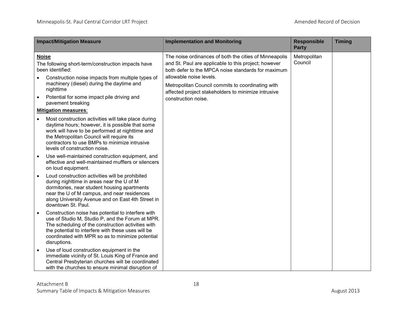| <b>Impact/Mitigation Measure</b>                                                                                                                                                                                                                                                                                                      | <b>Implementation and Monitoring</b>                                                                                                                                                                                                                                                                                               | <b>Responsible</b><br><b>Party</b> | <b>Timing</b> |
|---------------------------------------------------------------------------------------------------------------------------------------------------------------------------------------------------------------------------------------------------------------------------------------------------------------------------------------|------------------------------------------------------------------------------------------------------------------------------------------------------------------------------------------------------------------------------------------------------------------------------------------------------------------------------------|------------------------------------|---------------|
| <b>Noise</b><br>The following short-term/construction impacts have<br>been identified:<br>Construction noise impacts from multiple types of<br>machinery (diesel) during the daytime and<br>nighttime<br>Potential for some impact pile driving and<br>$\bullet$<br>pavement breaking                                                 | The noise ordinances of both the cities of Minneapolis<br>and St. Paul are applicable to this project; however<br>both defer to the MPCA noise standards for maximum<br>allowable noise levels.<br>Metropolitan Council commits to coordinating with<br>affected project stakeholders to minimize intrusive<br>construction noise. | Metropolitan<br>Council            |               |
| <b>Mitigation measures:</b><br>Most construction activities will take place during<br>$\bullet$<br>daytime hours; however, it is possible that some<br>work will have to be performed at nighttime and<br>the Metropolitan Council will require its<br>contractors to use BMPs to minimize intrusive<br>levels of construction noise. |                                                                                                                                                                                                                                                                                                                                    |                                    |               |
| Use well-maintained construction equipment, and<br>$\bullet$<br>effective and well-maintained mufflers or silencers<br>on loud equipment.                                                                                                                                                                                             |                                                                                                                                                                                                                                                                                                                                    |                                    |               |
| Loud construction activities will be prohibited<br>$\bullet$<br>during nighttime in areas near the U of M<br>dormitories, near student housing apartments<br>near the U of M campus, and near residences<br>along University Avenue and on East 4th Street in<br>downtown St. Paul.                                                   |                                                                                                                                                                                                                                                                                                                                    |                                    |               |
| Construction noise has potential to interfere with<br>$\bullet$<br>use of Studio M, Studio P, and the Forum at MPR.<br>The scheduling of the construction activities with<br>the potential to interfere with these uses will be<br>coordinated with MPR so as to minimize potential<br>disruptions.                                   |                                                                                                                                                                                                                                                                                                                                    |                                    |               |
| Use of loud construction equipment in the<br>$\bullet$<br>immediate vicinity of St. Louis King of France and<br>Central Presbyterian churches will be coordinated<br>with the churches to ensure minimal disruption of                                                                                                                |                                                                                                                                                                                                                                                                                                                                    |                                    |               |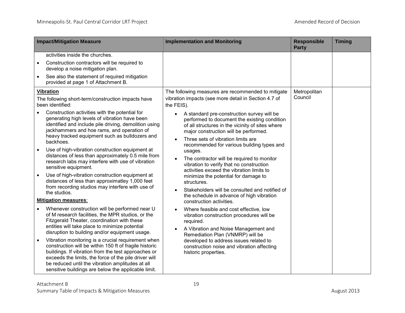| activities inside the churches.<br>Construction contractors will be required to<br>$\bullet$                                                                                                                                                                                                                                                                                                                                                                                                                                                                                                                                                                                                                                                                                                                                                                                                                                                                                                                                                                                                                                                                                                                                                                                                                                                                                                                                                                                                                                                                                                                                                                                                                                                                                                                                                                                                                                                                                                                                                                                                                                                                                                                                                                                                                                                                                                                                                                                                                                    |  |
|---------------------------------------------------------------------------------------------------------------------------------------------------------------------------------------------------------------------------------------------------------------------------------------------------------------------------------------------------------------------------------------------------------------------------------------------------------------------------------------------------------------------------------------------------------------------------------------------------------------------------------------------------------------------------------------------------------------------------------------------------------------------------------------------------------------------------------------------------------------------------------------------------------------------------------------------------------------------------------------------------------------------------------------------------------------------------------------------------------------------------------------------------------------------------------------------------------------------------------------------------------------------------------------------------------------------------------------------------------------------------------------------------------------------------------------------------------------------------------------------------------------------------------------------------------------------------------------------------------------------------------------------------------------------------------------------------------------------------------------------------------------------------------------------------------------------------------------------------------------------------------------------------------------------------------------------------------------------------------------------------------------------------------------------------------------------------------------------------------------------------------------------------------------------------------------------------------------------------------------------------------------------------------------------------------------------------------------------------------------------------------------------------------------------------------------------------------------------------------------------------------------------------------|--|
| develop a noise mitigation plan.<br>See also the statement of required mitigation<br>$\bullet$<br>provided at page 1 of Attachment B.                                                                                                                                                                                                                                                                                                                                                                                                                                                                                                                                                                                                                                                                                                                                                                                                                                                                                                                                                                                                                                                                                                                                                                                                                                                                                                                                                                                                                                                                                                                                                                                                                                                                                                                                                                                                                                                                                                                                                                                                                                                                                                                                                                                                                                                                                                                                                                                           |  |
| Metropolitan<br><b>Vibration</b><br>The following measures are recommended to mitigate<br>Council<br>vibration impacts (see more detail in Section 4.7 of<br>The following short-term/construction impacts have<br>been identified:<br>the FEIS).<br>Construction activities with the potential for<br>A standard pre-construction survey will be<br>generating high levels of vibration have been<br>performed to document the existing condition<br>identified and include pile driving, demolition using<br>of all structures in the vicinity of sites where<br>jackhammers and hoe rams, and operation of<br>major construction will be performed.<br>heavy tracked equipment such as bulldozers and<br>Three sets of vibration limits are<br>$\bullet$<br>backhoes.<br>recommended for various building types and<br>Use of high-vibration construction equipment at<br>$\bullet$<br>usages.<br>distances of less than approximately 0.5 mile from<br>The contractor will be required to monitor<br>$\bullet$<br>research labs may interfere with use of vibration<br>vibration to verify that no construction<br>sensitive equipment.<br>activities exceed the vibration limits to<br>Use of high-vibration construction equipment at<br>$\bullet$<br>minimize the potential for damage to<br>distances of less than approximatley 1,000 feet<br>structures.<br>from recording studios may interfere with use of<br>Stakeholders will be consulted and notified of<br>$\bullet$<br>the studios.<br>the schedule in advance of high vibration<br><b>Mitigation measures:</b><br>construction activities.<br>Whenever construction will be performed near U<br>Where feasible and cost effective, low<br>of M research facilities, the MPR studios, or the<br>vibration construction procedures will be<br>Fitzgerald Theater, coordination with these<br>required.<br>entities will take place to minimize potential<br>A Vibration and Noise Management and<br>disruption to building and/or equipment usage.<br>Remediation Plan (VNMRP) will be<br>Vibration monitoring is a crucial requirement when<br>developed to address issues related to<br>$\bullet$<br>construction will be within 150 ft of fragile historic<br>construction noise and vibration affecting<br>buildings. If vibration from the test approaches or<br>historic properties.<br>exceeds the limits, the force of the pile driver will<br>be reduced until the vibration amplitudes at all<br>sensitive buildings are below the applicable limit. |  |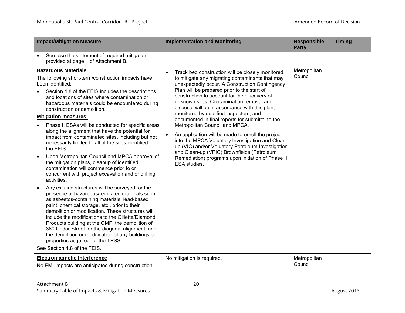| <b>Impact/Mitigation Measure</b>                                                                                                                                                                                                                                                                                                                                                                                                                                                                                                                                                                                                                                                                                                                                                                                                                                                                                                                                                                                                                                                                                                                                                                                                                                                                                                                              | <b>Implementation and Monitoring</b>                                                                                                                                                                                                                                                                                                                                                                                                                                                                                                                                                                                                                                                                                                                                             | <b>Responsible</b><br><b>Party</b> | <b>Timing</b> |
|---------------------------------------------------------------------------------------------------------------------------------------------------------------------------------------------------------------------------------------------------------------------------------------------------------------------------------------------------------------------------------------------------------------------------------------------------------------------------------------------------------------------------------------------------------------------------------------------------------------------------------------------------------------------------------------------------------------------------------------------------------------------------------------------------------------------------------------------------------------------------------------------------------------------------------------------------------------------------------------------------------------------------------------------------------------------------------------------------------------------------------------------------------------------------------------------------------------------------------------------------------------------------------------------------------------------------------------------------------------|----------------------------------------------------------------------------------------------------------------------------------------------------------------------------------------------------------------------------------------------------------------------------------------------------------------------------------------------------------------------------------------------------------------------------------------------------------------------------------------------------------------------------------------------------------------------------------------------------------------------------------------------------------------------------------------------------------------------------------------------------------------------------------|------------------------------------|---------------|
| See also the statement of required mitigation<br>$\bullet$<br>provided at page 1 of Attachment B.                                                                                                                                                                                                                                                                                                                                                                                                                                                                                                                                                                                                                                                                                                                                                                                                                                                                                                                                                                                                                                                                                                                                                                                                                                                             |                                                                                                                                                                                                                                                                                                                                                                                                                                                                                                                                                                                                                                                                                                                                                                                  |                                    |               |
| <b>Hazardous Materials</b><br>The following short-term/construction impacts have<br>been identified:<br>Section 4.8 of the FEIS includes the descriptions<br>$\bullet$<br>and locations of sites where contamination or<br>hazardous materials could be encountered during<br>construction or demolition.<br><b>Mitigation measures:</b><br>Phase II ESAs will be conducted for specific areas<br>$\bullet$<br>along the alignment that have the potential for<br>impact from contaminated sites, including but not<br>necessarily limited to all of the sites identified in<br>the FEIS.<br>Upon Metropolitan Council and MPCA approval of<br>the mitigation plans, cleanup of identified<br>contamination will commence prior to or<br>concurrent with project excavation and or drilling<br>activities.<br>Any existing structures will be surveyed for the<br>presence of hazardous/regulated materials such<br>as asbestos-containing materials, lead-based<br>paint, chemical storage, etc., prior to their<br>demolition or modification. These structures will<br>include the modifications to the Gillette/Diamond<br>Products building at the OMF, the demolition of<br>360 Cedar Street for the diagonal alignment, and<br>the demolition or modification of any buildings on<br>properties acquired for the TPSS.<br>See Section 4.8 of the FEIS. | Track bed construction will be closely monitored<br>$\bullet$<br>to mitigate any migrating contaminants that may<br>unexpectedly occur. A Construction Contingency<br>Plan will be prepared prior to the start of<br>construction to account for the discovery of<br>unknown sites. Contamination removal and<br>disposal will be in accordance with this plan,<br>monitored by qualified inspectors, and<br>documented in final reports for submittal to the<br>Metropolitan Council and MPCA.<br>An application will be made to enroll the project<br>into the MPCA Voluntary Investigation and Clean-<br>up (VIC) and/or Voluntary Petroleum Investigation<br>and Clean-up (VPIC) Brownfields (Petroleum<br>Remediation) programs upon initiation of Phase II<br>ESA studies. | Metropolitan<br>Council            |               |
| <b>Electromagnetic Interference</b><br>No EMI impacts are anticipated during construction.                                                                                                                                                                                                                                                                                                                                                                                                                                                                                                                                                                                                                                                                                                                                                                                                                                                                                                                                                                                                                                                                                                                                                                                                                                                                    | No mitigation is required.                                                                                                                                                                                                                                                                                                                                                                                                                                                                                                                                                                                                                                                                                                                                                       | Metropolitan<br>Council            |               |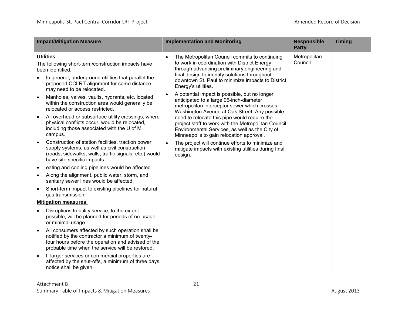| <b>Impact/Mitigation Measure</b>                                                                                                                                                                                             | <b>Implementation and Monitoring</b>                                                                                                                                                                                                                                                      | <b>Responsible</b><br><b>Party</b> | <b>Timing</b> |
|------------------------------------------------------------------------------------------------------------------------------------------------------------------------------------------------------------------------------|-------------------------------------------------------------------------------------------------------------------------------------------------------------------------------------------------------------------------------------------------------------------------------------------|------------------------------------|---------------|
| <b>Utilities</b><br>The following short-term/construction impacts have<br>been identified:<br>In general, underground utilities that parallel the<br>proposed CCLRT alignment for some distance<br>may need to be relocated. | The Metropolitan Council commits to continuing<br>$\bullet$<br>to work in coordination with District Energy<br>through advancing preliminary engineering and<br>final design to identify solutions throughout<br>downtown St. Paul to minimize impacts to District<br>Energy's utilities. | Metropolitan<br>Council            |               |
| Manholes, valves, vaults, hydrants, etc. located<br>$\bullet$<br>within the construction area would generally be<br>relocated or access restricted.<br>All overhead or subsurface utility crossings, where<br>$\bullet$      | A potential impact is possible, but no longer<br>$\bullet$<br>anticipated to a large 96-inch-diameter<br>metropolitan interceptor sewer which crosses<br>Washington Avenue at Oak Street. Any possible<br>need to relocate this pipe would require the                                    |                                    |               |
| physical conflicts occur, would be relocated,<br>including those associated with the U of M<br>campus.                                                                                                                       | project staff to work with the Metropolitan Council<br>Environmental Services, as well as the City of<br>Minneapolis to gain relocation approval.                                                                                                                                         |                                    |               |
| Construction of station facilities, traction power<br>supply systems, as well as civil construction<br>(roads, sidewalks, walls, traffic signals, etc.) would<br>have site specific impacts.                                 | The project will continue efforts to minimize and<br>$\bullet$<br>mitigate impacts with existing utilities during final<br>design.                                                                                                                                                        |                                    |               |
| eating and cooling pipelines would be affected.<br>٠                                                                                                                                                                         |                                                                                                                                                                                                                                                                                           |                                    |               |
| Along the alignment, public water, storm, and<br>$\bullet$<br>sanitary sewer lines would be affected.                                                                                                                        |                                                                                                                                                                                                                                                                                           |                                    |               |
| Short-term impact to existing pipelines for natural<br>٠<br>gas transmission                                                                                                                                                 |                                                                                                                                                                                                                                                                                           |                                    |               |
| <b>Mitigation measures:</b>                                                                                                                                                                                                  |                                                                                                                                                                                                                                                                                           |                                    |               |
| Disruptions to utility service, to the extent<br>possible, will be planned for periods of no-usage<br>or minimal usage.                                                                                                      |                                                                                                                                                                                                                                                                                           |                                    |               |
| All consumers affected by such operation shall be<br>notified by the contractor a minimum of twenty-<br>four hours before the operation and advised of the<br>probable time when the service will be restored.               |                                                                                                                                                                                                                                                                                           |                                    |               |
| If larger services or commercial properties are<br>affected by the shut-offs, a minimum of three days<br>notice shall be given.                                                                                              |                                                                                                                                                                                                                                                                                           |                                    |               |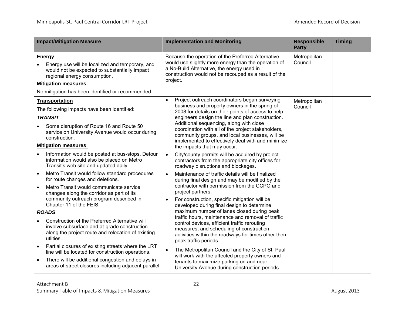| <b>Impact/Mitigation Measure</b>                                                                                                                                                                                                                                           | <b>Implementation and Monitoring</b>                                                                                                                                                                                                                                                             | <b>Responsible</b><br><b>Party</b> | <b>Timing</b> |
|----------------------------------------------------------------------------------------------------------------------------------------------------------------------------------------------------------------------------------------------------------------------------|--------------------------------------------------------------------------------------------------------------------------------------------------------------------------------------------------------------------------------------------------------------------------------------------------|------------------------------------|---------------|
| <b>Energy</b><br>Energy use will be localized and temporary, and<br>would not be expected to substantially impact<br>regional energy consumption.<br><b>Mitigation measures:</b>                                                                                           | Because the operation of the Preferred Alternative<br>would use slightly more energy than the operation of<br>a No-Build Alternative, the energy used in<br>construction would not be recouped as a result of the<br>project.                                                                    | Metropolitan<br>Council            |               |
| No mitigation has been identified or recommended.                                                                                                                                                                                                                          |                                                                                                                                                                                                                                                                                                  |                                    |               |
| <b>Transportation</b><br>The following impacts have been identified:<br><b>TRANSIT</b>                                                                                                                                                                                     | Project outreach coordinators began surveying<br>$\bullet$<br>business and property owners in the spring of<br>2008 for details on their points of access to help<br>engineers design the line and plan construction.                                                                            | Metropolitan<br>Council            |               |
| Some disruption of Route 16 and Route 50<br>service on University Avenue would occur during<br>construction.                                                                                                                                                               | Additional sequencing, along with close<br>coordination with all of the project stakeholders,<br>community groups, and local businesses, will be<br>implemented to effectively deal with and minimize                                                                                            |                                    |               |
| <b>Mitigation measures:</b>                                                                                                                                                                                                                                                | the impacts that may occur.                                                                                                                                                                                                                                                                      |                                    |               |
| Information would be posted at bus-stops. Detour<br>information would also be placed on Metro<br>Transit's web site and updated daily.                                                                                                                                     | City/county permits will be acquired by project<br>$\bullet$<br>contractors from the appropriate city offices for<br>roadway disruptions and blockages.                                                                                                                                          |                                    |               |
| Metro Transit would follow standard procedures<br>$\bullet$<br>for route changes and deletions.<br>Metro Transit would communicate service<br>$\bullet$<br>changes along the corridor as part of its<br>community outreach program described in<br>Chapter 11 of the FEIS. | Maintenance of traffic details will be finalized<br>$\bullet$<br>during final design and may be modified by the<br>contractor with permission from the CCPO and<br>project partners.<br>For construction, specific mitigation will be<br>$\bullet$<br>developed during final design to determine |                                    |               |
| <b>ROADS</b>                                                                                                                                                                                                                                                               | maximum number of lanes closed during peak                                                                                                                                                                                                                                                       |                                    |               |
| Construction of the Preferred Alternative will<br>involve subsurface and at-grade construction<br>along the project route and relocation of existing<br>utlities.                                                                                                          | traffic hours, maintenance and removal of traffic<br>control devices, efficient traffic rerouting<br>measures, and scheduling of construction<br>activities within the roadways for times other then<br>peak traffic periods.                                                                    |                                    |               |
| Partial closures of existing streets where the LRT<br>$\bullet$<br>line will be located for construction operations.<br>There will be additional congestion and delays in<br>$\bullet$<br>areas of street closures including adjacent parallel                             | The Metropolitan Council and the City of St. Paul<br>$\bullet$<br>will work with the affected property owners and<br>tenants to maximize parking on and near<br>University Avenue during construction periods.                                                                                   |                                    |               |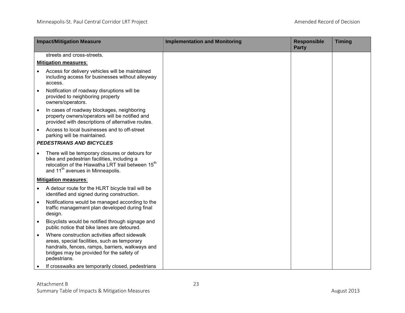| <b>Impact/Mitigation Measure</b>                                                                                                                                                                                             | <b>Implementation and Monitoring</b> | <b>Responsible</b><br><b>Party</b> | <b>Timing</b> |
|------------------------------------------------------------------------------------------------------------------------------------------------------------------------------------------------------------------------------|--------------------------------------|------------------------------------|---------------|
| streets and cross-streets.                                                                                                                                                                                                   |                                      |                                    |               |
| <b>Mitigation measures:</b>                                                                                                                                                                                                  |                                      |                                    |               |
| Access for delivery vehicles will be maintained<br>including access for businesses without alleyway<br>access.                                                                                                               |                                      |                                    |               |
| Notification of roadway disruptions will be<br>$\bullet$<br>provided to neighboring property<br>owners/operators.                                                                                                            |                                      |                                    |               |
| In cases of roadway blockages, neighboring<br>$\bullet$<br>property owners/operators will be notified and<br>provided with descriptions of alternative routes.                                                               |                                      |                                    |               |
| Access to local businesses and to off-street<br>$\bullet$<br>parking will be maintained.                                                                                                                                     |                                      |                                    |               |
| <b>PEDESTRIANS AND BICYCLES</b>                                                                                                                                                                                              |                                      |                                    |               |
| There will be temporary closures or detours for<br>$\bullet$<br>bike and pedestrian facilities, including a<br>relocation of the Hiawatha LRT trail between 15 <sup>th</sup><br>and 11 <sup>th</sup> avenues in Minneapolis. |                                      |                                    |               |
| <b>Mitigation measures:</b>                                                                                                                                                                                                  |                                      |                                    |               |
| A detour route for the HLRT bicycle trail will be<br>$\bullet$<br>identified and signed during construction.                                                                                                                 |                                      |                                    |               |
| Notifications would be managed according to the<br>$\bullet$<br>traffic management plan developed during final<br>design.                                                                                                    |                                      |                                    |               |
| Bicyclists would be notified through signage and<br>$\bullet$<br>public notice that bike lanes are detoured.                                                                                                                 |                                      |                                    |               |
| Where construction activities affect sidewalk<br>areas, special facilities, such as temporary<br>handrails, fences, ramps, barriers, walkways and<br>bridges may be provided for the safety of<br>pedestrians.               |                                      |                                    |               |
| If crosswalks are temporarily closed, pedestrians<br>$\bullet$                                                                                                                                                               |                                      |                                    |               |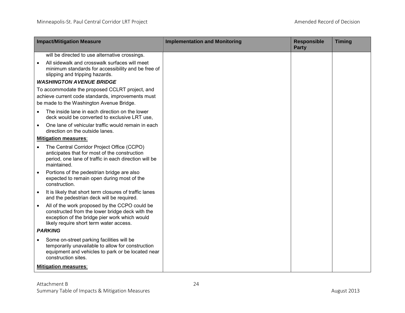| <b>Impact/Mitigation Measure</b>                                                                                                                                                                          | <b>Implementation and Monitoring</b> | <b>Responsible</b><br><b>Party</b> | <b>Timing</b> |
|-----------------------------------------------------------------------------------------------------------------------------------------------------------------------------------------------------------|--------------------------------------|------------------------------------|---------------|
| will be directed to use alternative crossings.                                                                                                                                                            |                                      |                                    |               |
| All sidewalk and crosswalk surfaces will meet<br>$\bullet$<br>minimum standards for accessibility and be free of<br>slipping and tripping hazards.                                                        |                                      |                                    |               |
| <b>WASHINGTON AVENUE BRIDGE</b>                                                                                                                                                                           |                                      |                                    |               |
| To accommodate the proposed CCLRT project, and<br>achieve current code standards, improvements must<br>be made to the Washington Avenue Bridge.                                                           |                                      |                                    |               |
| The inside lane in each direction on the lower<br>$\bullet$<br>deck would be converted to exclusive LRT use,                                                                                              |                                      |                                    |               |
| One lane of vehicular traffic would remain in each<br>$\bullet$<br>direction on the outside lanes.                                                                                                        |                                      |                                    |               |
| <b>Mitigation measures:</b>                                                                                                                                                                               |                                      |                                    |               |
| The Central Corridor Project Office (CCPO)<br>anticipates that for most of the construction<br>period, one lane of traffic in each direction will be<br>maintained.                                       |                                      |                                    |               |
| Portions of the pedestrian bridge are also<br>$\bullet$<br>expected to remain open during most of the<br>construction.                                                                                    |                                      |                                    |               |
| It is likely that short term closures of traffic lanes<br>$\bullet$<br>and the pedestrian deck will be required.                                                                                          |                                      |                                    |               |
| All of the work proposed by the CCPO could be<br>$\bullet$<br>constructed from the lower bridge deck with the<br>exception of the bridge pier work which would<br>likely require short term water access. |                                      |                                    |               |
| <b>PARKING</b>                                                                                                                                                                                            |                                      |                                    |               |
| Some on-street parking facilities will be<br>$\bullet$<br>temporarily unavailable to allow for construction<br>equipment and vehicles to park or be located near<br>construction sites.                   |                                      |                                    |               |
| <b>Mitigation measures:</b>                                                                                                                                                                               |                                      |                                    |               |